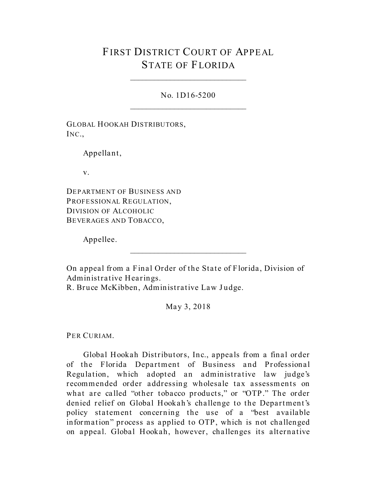## FIRST DISTRICT COURT OF APPEAL **STATE OF FLORIDA**

No. 1D16-5200

**GLOBAL HOOKAH DISTRIBUTORS,**  $INC.,$ 

Appellant,

 $V_{\bullet}$ 

**DEPARTMENT OF BUSINESS AND** PROFESSIONAL REGULATION. **DIVISION OF ALCOHOLIC** BEVERAGES AND TOBACCO,

Appellee.

On appeal from a Final Order of the State of Florida, Division of Administrative Hearings.

R. Bruce McKibben, Administrative Law Judge.

May 3, 2018

PER CURIAM.

Global Hookah Distributors, Inc., appeals from a final order of the Florida Department of Business and Professional Regulation, which adopted an administrative law judge's recommended order addressing wholesale tax assessments on what are called "other tobacco products," or "OTP." The order denied relief on Global Hookah's challenge to the Department's policy statement concerning the use of a "best available information" process as applied to OTP, which is not challenged on appeal. Global Hookah, however, challenges its alternative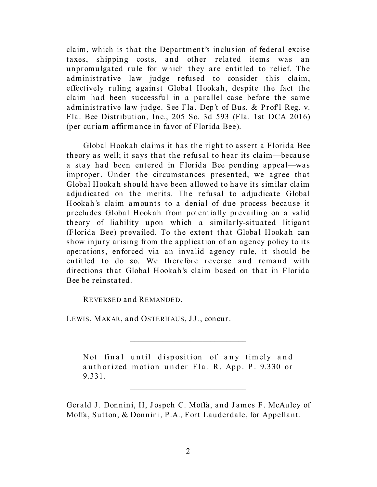claim, which is that the Department's inclusion of federal excise taxes, shipping costs, and other related items was an unpromulgated rule for which they are entitled to relief. The administrative law judge refused to consider this claim, effectively ruling against Global Hookah, despite the fact the claim had been successful in a parallel case before the same administrative law judge. See Fla. Dep't of Bus. & Prof'l Reg. v. Fla. Bee Distribution, Inc., 205 So. 3d 593 (Fla. 1st DCA 2016) (per curiam affirmance in favor of Florida Bee).

Global Hookah claims it has the right to assert a Florida Bee theory as well; it says that the refusal to hear its claim—because a stay had been entered in Florida Bee pending appeal—was improper. Under the circumstances presented, we agree that Global Hookah should have been allowed to have its similar claim adjudicated on the merits. The refusal to adjudicate Global Hookah's claim amounts to a denial of due process because it precludes Global Hookah from potentially prevailing on a valid theory of liability upon which a similarly-situated litigant (Florida Bee) prevailed. To the extent that Global Hookah can show injury arising from the application of an agency policy to its operations, enforced via an invalid agency rule, it should be entitled to do so. We therefore reverse and remand with directions that Global Hookah's claim based on that in Florida Bee be reinstated.

REVERSED and REMANDED.

LEWIS, MAKAR, and OSTERHAUS, JJ., concur.

Not final until disposition of any timely and authorized motion under Fla. R. App. P. 9.330 or 9.331.

 $\mathcal{L}=\{1,2,3,4,5\}$ 

Gerald J. Donnini, II, Jospeh C. Moffa, and James F. McAuley of Moffa, Sutton, & Donnini, P.A., Fort Lauderdale, for Appellant.